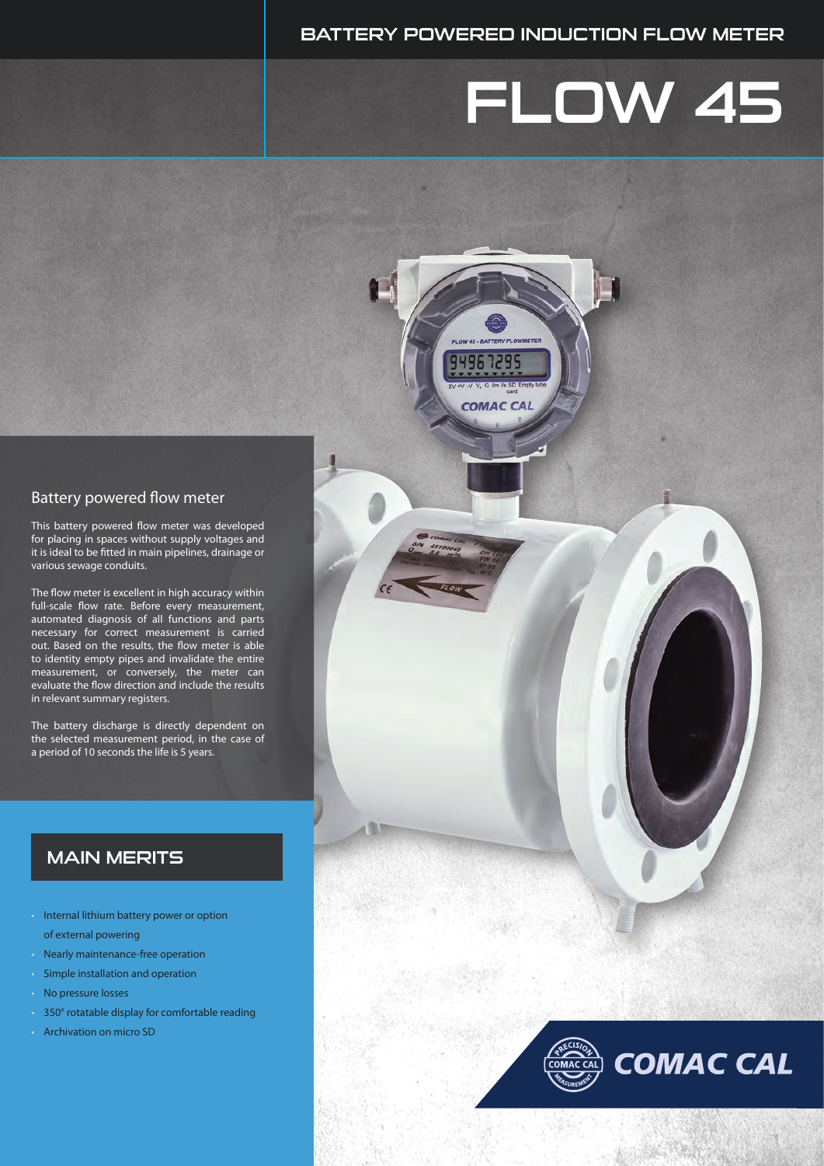### BATTERY POWERED INDUCTION FLOW METER

W 45 - RATTERY FLO 9496 7299

**COMAC CAL** 

**AND** 

# FLOW 45

#### Battery powered flow meter

This battery powered flow meter was developed for placing in spaces without supply voltages and it is ideal to be fitted in main pipelines, drainage or various sewage conduits.

The flow meter is excellent in high accuracy within full-scale flow rate. Before every measurement, automated diagnosis of all functions and parts necessary for correct measurement is carried out. Based on the results, the flow meter is able to identity empty pipes and invalidate the entire measurement, or conversely, the meter can evaluate the flow direction and include the results in relevant summary registers.

The battery discharge is directly dependent on the selected measurement period, in the case of a period of 10 seconds the life is 5 years.

### MAIN MERITS

- Internal lithium battery power or option of external powering
- Nearly maintenance-free operation
- Simple installation and operation
- No pressure losses
- 350° rotatable display for comfortable reading
- Archivation on micro SD

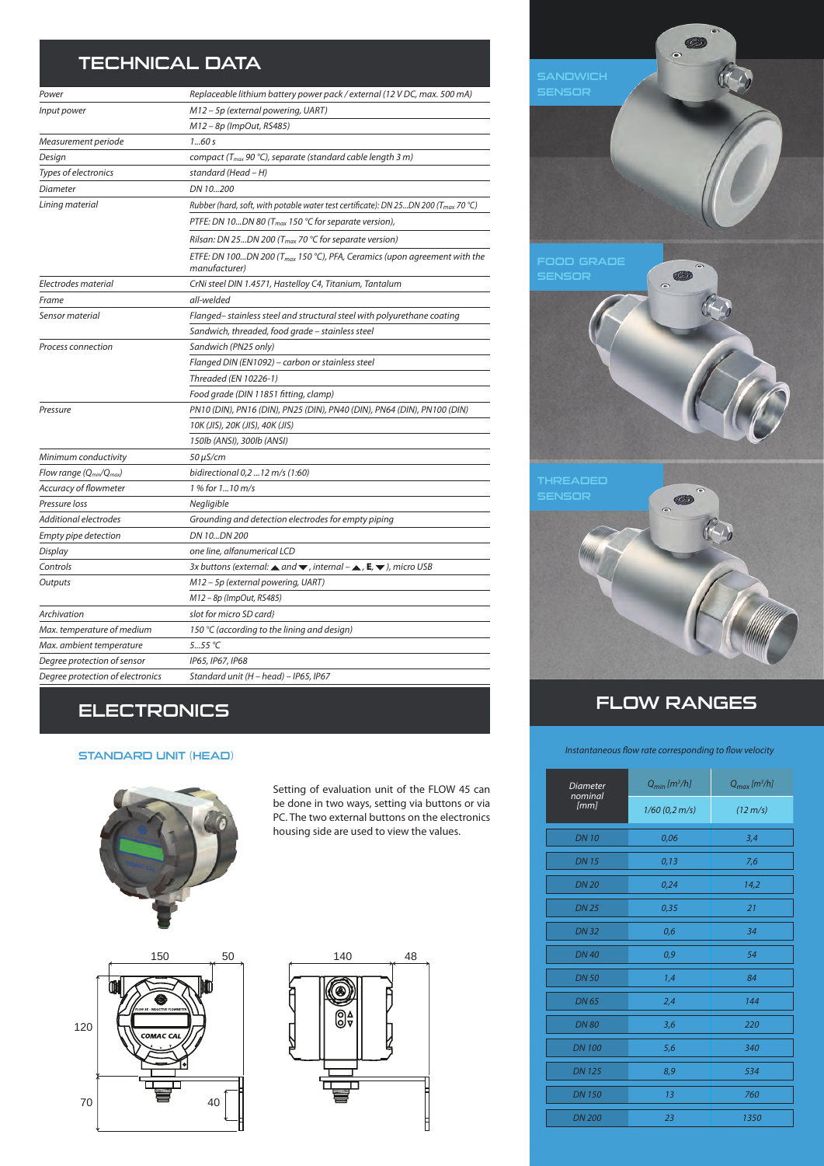## TECHNICAL DATA

| Power                                            | Replaceable lithium battery power pack / external (12 V DC, max. 500 mA)                                                          |
|--------------------------------------------------|-----------------------------------------------------------------------------------------------------------------------------------|
| Input power                                      | M12 - 5p (external powering, UART)                                                                                                |
|                                                  | M12-8p (ImpOut, RS485)                                                                                                            |
| Measurement periode                              | 160s                                                                                                                              |
| Design                                           | compact (T <sub>max</sub> 90 °C), separate (standard cable length 3 m)                                                            |
| Types of electronics                             | standard (Head - H)                                                                                                               |
| Diameter                                         | DN 10200                                                                                                                          |
| Lining material                                  | Rubber (hard, soft, with potable water test certificate): DN 25DN 200 (T <sub>max</sub> 70 °C)                                    |
|                                                  | PTFE: DN 10DN 80 (T <sub>max</sub> 150 °C for separate version),                                                                  |
|                                                  | Rilsan: DN 25DN 200 (T <sub>max</sub> 70 °C for separate version)                                                                 |
|                                                  | ETFE: DN 100DN 200 ( $T_{max}$ 150 °C), PFA, Ceramics (upon agreement with the<br>manufacturer)                                   |
| Electrodes material                              | CrNi steel DIN 1.4571, Hastelloy C4, Titanium, Tantalum                                                                           |
| Frame                                            | all-welded                                                                                                                        |
| Sensor material                                  | Flanged-stainless steel and structural steel with polyurethane coating                                                            |
|                                                  | Sandwich, threaded, food grade - stainless steel                                                                                  |
| Process connection                               | Sandwich (PN25 only)                                                                                                              |
|                                                  | Flanged DIN (EN1092) - carbon or stainless steel                                                                                  |
|                                                  | Threaded (EN 10226-1)                                                                                                             |
|                                                  | Food grade (DIN 11851 fitting, clamp)                                                                                             |
| Pressure                                         | PN10 (DIN), PN16 (DIN), PN25 (DIN), PN40 (DIN), PN64 (DIN), PN100 (DIN)                                                           |
|                                                  | 10K (JIS), 20K (JIS), 40K (JIS)                                                                                                   |
|                                                  | 150lb (ANSI), 300lb (ANSI)                                                                                                        |
| Minimum conductivity                             | 50 μS/cm                                                                                                                          |
| Flow range (Q <sub>min</sub> /Q <sub>max</sub> ) | bidirectional 0,2  12 m/s (1:60)                                                                                                  |
| Accuracy of flowmeter                            | 1 % for 110 m/s                                                                                                                   |
| Pressure loss                                    | Negligible                                                                                                                        |
| Additional electrodes                            | Grounding and detection electrodes for empty piping                                                                               |
| Empty pipe detection                             | DN 10DN 200                                                                                                                       |
| Display                                          | one line, alfanumerical LCD                                                                                                       |
| Controls                                         | 3x buttons (external: $\triangle$ and $\blacktriangledown$ , internal $-\triangle$ , <b>E</b> , $\blacktriangledown$ ), micro USB |
| Outputs                                          | M12 - 5p (external powering, UART)                                                                                                |
|                                                  | M12-8p (ImpOut, RS485)                                                                                                            |
| Archivation                                      | slot for micro SD card}                                                                                                           |
| Max. temperature of medium                       | 150 ℃ (according to the lining and design)                                                                                        |
| Max. ambient temperature                         | 555 °C                                                                                                                            |
| Degree protection of sensor                      | IP65, IP67, IP68                                                                                                                  |
| Degree protection of electronics                 | Standard unit (H - head) - IP65, IP67                                                                                             |

# **ELECTRONICS**

#### STANDARD UNIT (HEAD)



Setting of evaluation unit of the FLOW 45 can be done in two ways, setting via buttons or via PC. The two external buttons on the electronics housing side are used to view the values.







## FLOW RANGES

#### *Instantaneous flow rate corresponding to flow velocity*

| <b>Diameter</b> | $Q_{min}[m^3/h]$ | $Q_{max}[m^3/h]$     |
|-----------------|------------------|----------------------|
| nominal<br>[mm] | $1/60$ (0,2 m/s) | $(12 \, \text{m/s})$ |
| <b>DN10</b>     | 0,06             | 3,4                  |
| <b>DN15</b>     | 0,13             | 7,6                  |
| <b>DN 20</b>    | 0,24             | 14,2                 |
| <b>DN 25</b>    | 0,35             | 21                   |
| <b>DN32</b>     | 0,6              | 34                   |
| <b>DN40</b>     | 0,9              | 54                   |
| <b>DN50</b>     | 1,4              | 84                   |
| <b>DN65</b>     | 2,4              | 144                  |
| <b>DN80</b>     | 3,6              | 220                  |
| <b>DN 100</b>   | 5,6              | 340                  |
| <b>DN 125</b>   | 8,9              | 534                  |
| <b>DN 150</b>   | 1 <sub>3</sub>   | 760                  |
| <b>DN 200</b>   | 23               | 1350                 |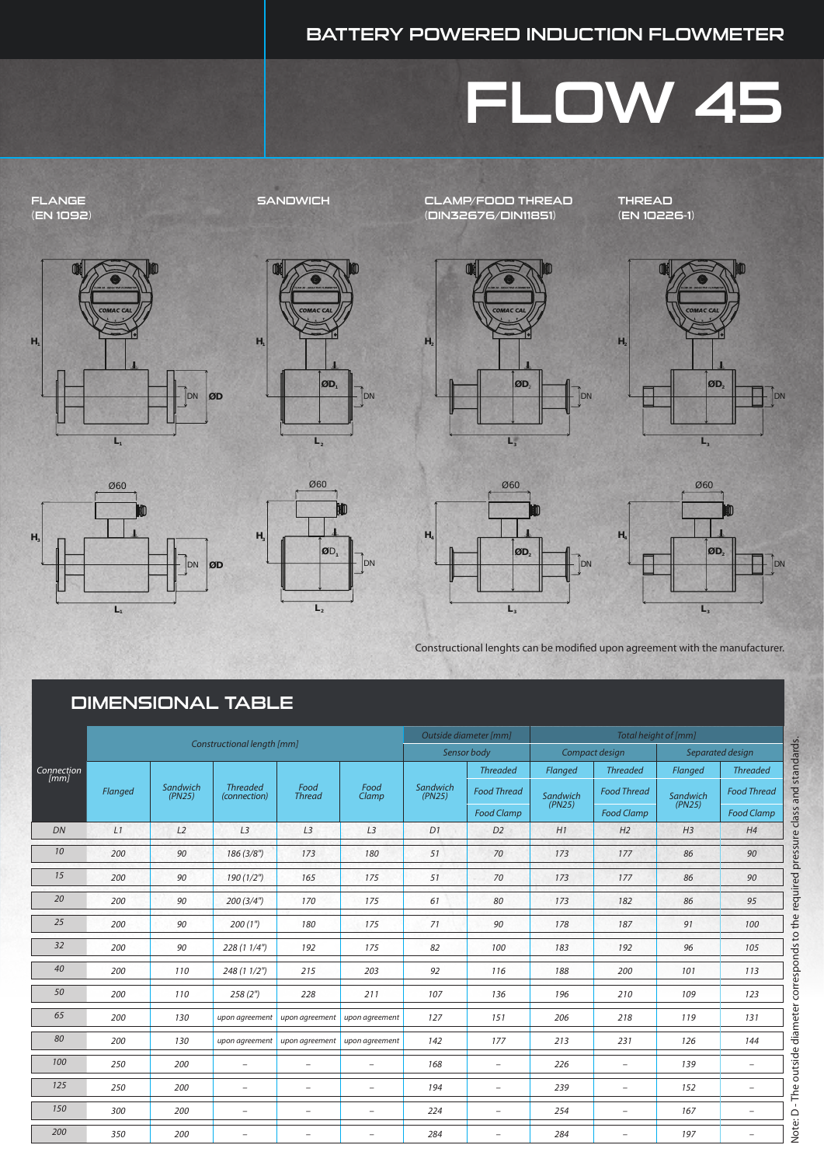## BATTERY POWERED INDUCTION FLOWMETER

# FLOW 45

FLANGE (EN 1092)









**L2**

SANDWICH CLAMP/FOOD THREAD (DIN32676/DIN11851)

THREAD (EN 10226-1)









Constructional lenghts can be modified upon agreement with the manufacturer.

|                    | Constructional length [mm] |                    | Outside diameter [mm]           |                          | Total height of [mm]     |                    |                          |          |                          |                |                                     |
|--------------------|----------------------------|--------------------|---------------------------------|--------------------------|--------------------------|--------------------|--------------------------|----------|--------------------------|----------------|-------------------------------------|
|                    |                            |                    |                                 |                          |                          |                    | Sensor body              |          | Compact design           |                | Separated design                    |
| Connection<br>[mm] |                            |                    |                                 |                          |                          |                    | <b>Threaded</b>          | Flanged  | <b>Threaded</b>          | Flanged        | standards.<br><b>Threaded</b>       |
|                    | Flanged                    | Sandwich<br>(PN25) | <b>Threaded</b><br>(connection) | Food<br><b>Thread</b>    | Food<br>Clamp            | Sandwich<br>(PN25) | <b>Food Thread</b>       | Sandwich | <b>Food Thread</b>       | Sandwich       | class and<br><b>Food Thread</b>     |
|                    |                            |                    |                                 |                          |                          |                    | <b>Food Clamp</b>        | (PN25)   | <b>Food Clamp</b>        | (PN25)         | <b>Food Clamp</b>                   |
| DN                 | L1                         | L2                 | L3                              | L3                       | L3                       | D <sub>1</sub>     | D <sub>2</sub>           | H1       | H <sub>2</sub>           | H <sub>3</sub> | H <sub>4</sub>                      |
| 10                 | 200                        | 90                 | 186 (3/8")                      | 173                      | 180                      | 51                 | 70                       | 173      | 177                      | 86             | 90                                  |
| 15                 | 200                        | 90                 | 190(1/2")                       | 165                      | 175                      | 51                 | 70                       | 173      | 177                      | 86             | 90                                  |
| 20                 | 200                        | 90                 | 200(3/4")                       | 170                      | 175                      | 61                 | 80                       | 173      | 182                      | 86             | required pressure<br>95             |
| 25                 | 200                        | 90                 | 200(1")                         | 180                      | 175                      | 71                 | 90                       | 178      | 187                      | 91             | 100                                 |
| 32                 | 200                        | 90                 | 228 (1 1/4")                    | 192                      | 175                      | 82                 | 100                      | 183      | 192                      | 96             | 105                                 |
| 40                 | 200                        | 110                | 248 (1 1/2")                    | 215                      | 203                      | 92                 | 116                      | 188      | 200                      | 101            | corresponds to the<br>113           |
| 50                 | 200                        | 110                | 258(2")                         | 228                      | 211                      | 107                | 136                      | 196      | 210                      | 109            | 123                                 |
| 65                 | 200                        | 130                | upon agreement                  | upon agreement           | upon agreement           | 127                | 151                      | 206      | 218                      | 119            | diameter<br>131                     |
| 80                 | 200                        | 130                | upon agreement                  | upon agreement           | upon agreement           | 142                | 177                      | 213      | 231                      | 126            | 144                                 |
| 100                | 250                        | 200                | $\overline{\phantom{a}}$        | $\overline{\phantom{a}}$ | $\overline{\phantom{0}}$ | 168                | $\overline{\phantom{0}}$ | 226      | $\overline{\phantom{0}}$ | 139            | outside<br>$\overline{\phantom{a}}$ |
| 125                | 250                        | 200                | $\overline{\phantom{a}}$        | $\overline{\phantom{0}}$ | ۰                        | 194                | $\overline{\phantom{0}}$ | 239      | $\overline{a}$           | 152            | The<br>$\overline{\phantom{0}}$     |
| 150                | 300                        | 200                | $\overline{\phantom{a}}$        | $\overline{\phantom{m}}$ | $\overline{\phantom{0}}$ | 224                | $\overline{a}$           | 254      | $\overline{a}$           | 167            | $\overline{\phantom{m}}$            |
| 200                | 350                        | 200                |                                 |                          | $\overline{\phantom{0}}$ | 284                | $\overline{\phantom{0}}$ | 284      | $\overline{\phantom{0}}$ | 197            | Note: D<br>$\overline{\phantom{a}}$ |